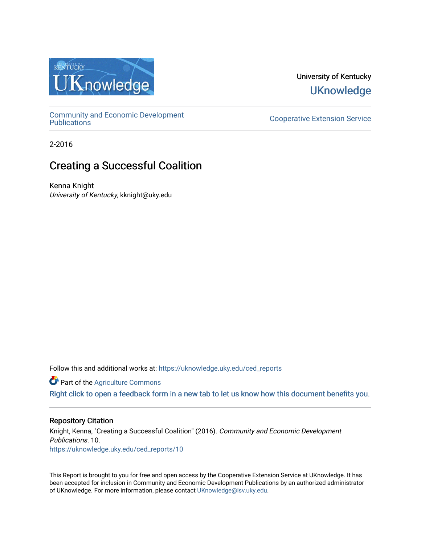

University of Kentucky **UKnowledge** 

[Community and Economic Development](https://uknowledge.uky.edu/ced_reports) 

**Cooperative Extension Service** 

2-2016

# Creating a Successful Coalition

Kenna Knight University of Kentucky, kknight@uky.edu

Follow this and additional works at: [https://uknowledge.uky.edu/ced\\_reports](https://uknowledge.uky.edu/ced_reports?utm_source=uknowledge.uky.edu%2Fced_reports%2F10&utm_medium=PDF&utm_campaign=PDFCoverPages)

**C** Part of the [Agriculture Commons](http://network.bepress.com/hgg/discipline/1076?utm_source=uknowledge.uky.edu%2Fced_reports%2F10&utm_medium=PDF&utm_campaign=PDFCoverPages)

[Right click to open a feedback form in a new tab to let us know how this document benefits you.](https://uky.az1.qualtrics.com/jfe/form/SV_9mq8fx2GnONRfz7)

#### Repository Citation

Knight, Kenna, "Creating a Successful Coalition" (2016). Community and Economic Development Publications. 10. [https://uknowledge.uky.edu/ced\\_reports/10](https://uknowledge.uky.edu/ced_reports/10?utm_source=uknowledge.uky.edu%2Fced_reports%2F10&utm_medium=PDF&utm_campaign=PDFCoverPages) 

This Report is brought to you for free and open access by the Cooperative Extension Service at UKnowledge. It has been accepted for inclusion in Community and Economic Development Publications by an authorized administrator of UKnowledge. For more information, please contact [UKnowledge@lsv.uky.edu.](mailto:UKnowledge@lsv.uky.edu)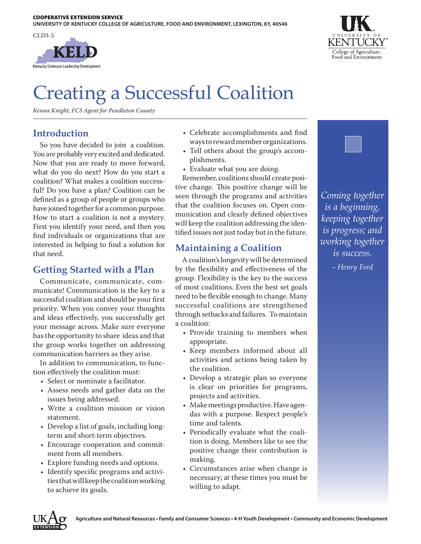



# Creating a Successful Coalition

*Kenna Knight, FCS Agent for Pendleton County*

### **Introduction**

So you have decided to join a coalition. You are probably very excited and dedicated. Now that you are ready to move forward, what do you do next? How do you start a coalition? What makes a coalition successful? Do you have a plan? Coalition can be defined as a group of people or groups who have joined together for a common purpose. How to start a coalition is not a mystery. First you identify your need, and then you find individuals or organizations that are interested in helping to find a solution for that need.

#### **Getting Started with a Plan**

Communicate, communicate, communicate! Communication is the key to a successful coalition and should be your first priority. When you convey your thoughts and ideas effectively, you successfully get your message across. Make sure everyone has the opportunity to share ideas and that the group works together on addressing communication barriers as they arise.

In addition to communication, to function effectively the coalition must:

- Select or nominate a facilitator.
- Assess needs and gather data on the issues being addressed.
- Write a coalition mission or vision statement.
- Develop a list of goals, including longterm and short-term objectives.
- Encourage cooperation and commitment from all members.
- Explore funding needs and options.
- Identify specific programs and activities that will keep the coalition working to achieve its goals.
- Celebrate accomplishments and find ways to reward member organizations.
- Tell others about the group's accomplishments.
- Evaluate what you are doing.

Remember, coalitions should create positive change. This positive change will be seen through the programs and activities that the coalition focuses on. Open communication and clearly defined objectives will keep the coalition addressing the identified issues not just today but in the future.

## **Maintaining a Coalition**

A coalition's longevity will be determined by the flexibility and effectiveness of the group. Flexibility is the key to the success of most coalitions. Even the best set goals need to be flexible enough to change. Many successful coalitions are strengthened through setbacks and failures. To maintain a coalition:

- Provide training to members when appropriate.
- Keep members informed about all activities and actions being taken by the coalition.
- Develop a strategic plan so everyone is clear on priorities for programs, projects and activities.
- Make meetings productive. Have agendas with a purpose. Respect people's time and talents.
- Periodically evaluate what the coalition is doing. Members like to see the positive change their contribution is making.
- Circumstances arise when change is necessary; at these times you must be willing to adapt.

*Coming together is a beginning, keeping together is progress; and working together is success.* 

*– Henry Ford*